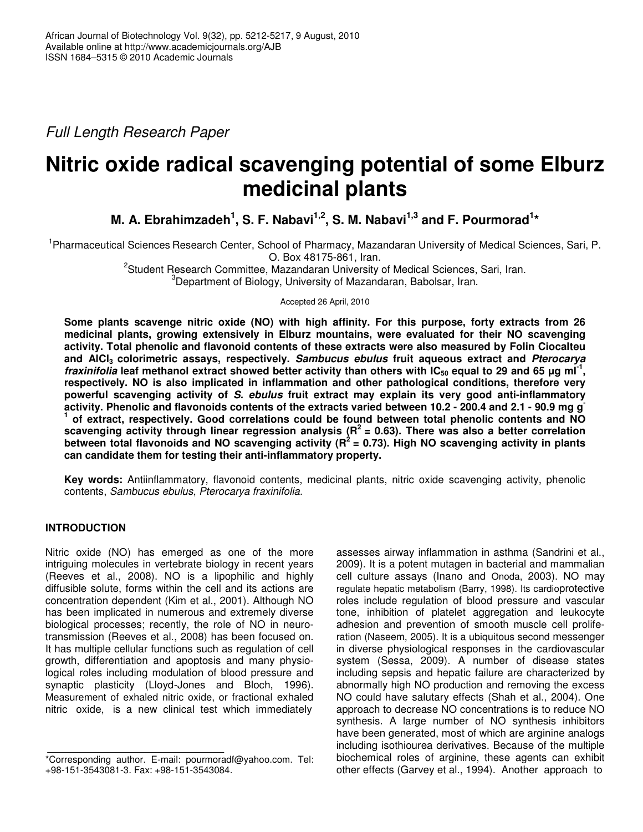*Full Length Research Paper*

# **Nitric oxide radical scavenging potential of some Elburz medicinal plants**

**M. A. Ebrahimzadeh<sup>1</sup>, S. F. Nabavi<sup>1,2</sup>, S. M. Nabavi<sup>1,3</sup> and F. Pourmorad<sup>1</sup>\*** 

<sup>1</sup>Pharmaceutical Sciences Research Center, School of Pharmacy, Mazandaran University of Medical Sciences, Sari, P. O. Box 48175-861, Iran.

<sup>2</sup>Student Research Committee, Mazandaran University of Medical Sciences, Sari, Iran. <sup>3</sup>Department of Biology, University of Mazandaran, Babolsar, Iran.

Accepted 26 April, 2010

**Some plants scavenge nitric oxide (NO) with high affinity. For this purpose, forty extracts from 26 medicinal plants, growing extensively in Elburz mountains, were evaluated for their NO scavenging activity. Total phenolic and flavonoid contents of these extracts were also measured by Folin Ciocalteu and AlCl<sup>3</sup> colorimetric assays, respectively.** *Sambucus ebulus* **fruit aqueous extract and** *Pterocarya fraxinifolia* leaf methanol extract showed better activity than others with IC<sub>50</sub> equal to 29 and 65 µg ml<sup>-1</sup>, **respectively. NO is also implicated in inflammation and other pathological conditions, therefore very powerful scavenging activity of** *S. ebulus* **fruit extract may explain its very good anti-inflammatory** activity. Phenolic and flavonoids contents of the extracts varied between 10.2 - 200.4 and 2.1 - 90.9 mg g **1 of extract, respectively. Good correlations could be found between total phenolic contents and NO scavenging activity through linear regression analysis (R 2 = 0.63). There was also a better correlation between total flavonoids and NO scavenging activity (R 2 = 0.73). High NO scavenging activity in plants can candidate them for testing their anti-inflammatory property.**

**Key words:** Antiinflammatory, flavonoid contents, medicinal plants, nitric oxide scavenging activity, phenolic contents, *Sambucus ebulus*, *Pterocarya fraxinifolia.*

# **INTRODUCTION**

Nitric oxide (NO) has emerged as one of the more intriguing molecules in vertebrate biology in recent years (Reeves et al., 2008). NO is a lipophilic and highly diffusible solute, forms within the cell and its actions are concentration dependent (Kim et al., 2001). Although NO has been implicated in numerous and extremely diverse biological processes; recently, the role of NO in neurotransmission (Reeves et al., 2008) has been focused on. It has multiple cellular functions such as regulation of cell growth, differentiation and apoptosis and many physiological roles including modulation of blood pressure and synaptic plasticity (Lloyd-Jones and Bloch, 1996). Measurement of exhaled nitric oxide, or fractional exhaled nitric oxide, is a new clinical test which immediately

assesses airway inflammation in asthma (Sandrini et al., 2009). It is a potent mutagen in bacterial and mammalian cell culture assays (Inano and Onoda, 2003). NO may regulate hepatic metabolism (Barry, 1998). Its cardioprotective roles include regulation of blood pressure and vascular tone, inhibition of platelet aggregation and leukocyte adhesion and prevention of smooth muscle cell proliferation (Naseem, 2005). It is a ubiquitous second messenger in diverse physiological responses in the cardiovascular system (Sessa, 2009). A number of disease states including sepsis and hepatic failure are characterized by abnormally high NO production and removing the excess NO could have salutary effects (Shah et al., 2004). One approach to decrease NO concentrations is to reduce NO synthesis. A large number of NO synthesis inhibitors have been generated, most of which are arginine analogs including isothiourea derivatives. Because of the multiple biochemical roles of arginine, these agents can exhibit other effects (Garvey et al., 1994). Another approach to

<sup>\*</sup>Corresponding author. E-mail: pourmoradf@yahoo.com. Tel: +98-151-3543081-3. Fax: +98-151-3543084.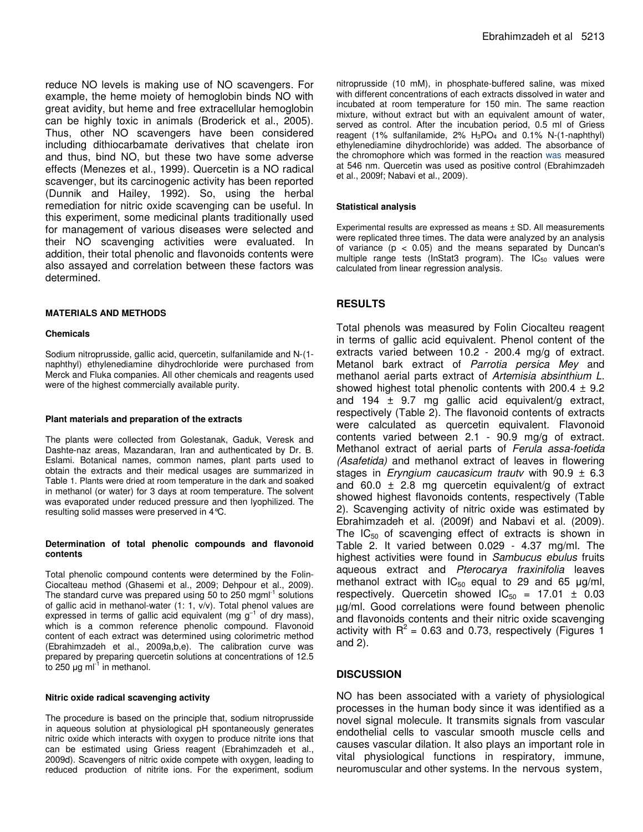reduce NO levels is making use of NO scavengers. For example, the heme moiety of hemoglobin binds NO with great avidity, but heme and free extracellular hemoglobin can be highly toxic in animals (Broderick et al., 2005). Thus, other NO scavengers have been considered including dithiocarbamate derivatives that chelate iron and thus, bind NO, but these two have some adverse effects (Menezes et al., 1999). Quercetin is a NO radical scavenger, but its carcinogenic activity has been reported (Dunnik and Hailey, 1992). So, using the herbal remediation for nitric oxide scavenging can be useful. In this experiment, some medicinal plants traditionally used for management of various diseases were selected and their NO scavenging activities were evaluated. In addition, their total phenolic and flavonoids contents were also assayed and correlation between these factors was determined.

### **MATERIALS AND METHODS**

#### **Chemicals**

Sodium nitroprusside, gallic acid, quercetin, sulfanilamide and N-(1 naphthyl) ethylenediamine dihydrochloride were purchased from Merck and Fluka companies. All other chemicals and reagents used were of the highest commercially available purity.

#### **Plant materials and preparation of the extracts**

The plants were collected from Golestanak, Gaduk, Veresk and Dashte-naz areas, Mazandaran, Iran and authenticated by Dr. B. Eslami. Botanical names, common names, plant parts used to obtain the extracts and their medical usages are summarized in Table 1. Plants were dried at room temperature in the dark and soaked in methanol (or water) for 3 days at room temperature. The solvent was evaporated under reduced pressure and then lyophilized. The resulting solid masses were preserved in 4°C.

#### **Determination of total phenolic compounds and flavonoid contents**

Total phenolic compound contents were determined by the Folin-Ciocalteau method (Ghasemi et al., 2009; Dehpour et al., 2009). The standard curve was prepared using 50 to 250 mgml<sup>-1</sup> solutions of gallic acid in methanol-water (1: 1, v/v). Total phenol values are expressed in terms of gallic acid equivalent (mg  $g^{-1}$  of dry mass), which is a common reference phenolic compound. Flavonoid content of each extract was determined using colorimetric method (Ebrahimzadeh et al., 2009a,b,e). The calibration curve was prepared by preparing quercetin solutions at concentrations of 12.5 to 250  $\mu$ g ml<sup>-1</sup> in methanol.

#### **Nitric oxide radical scavenging activity**

The procedure is based on the principle that, sodium nitroprusside in aqueous solution at physiological pH spontaneously generates nitric oxide which interacts with oxygen to produce nitrite ions that can be estimated using Griess reagent (Ebrahimzadeh et al., 2009d). Scavengers of nitric oxide compete with oxygen, leading to reduced production of nitrite ions. For the experiment, sodium

nitroprusside (10 mM), in phosphate-buffered saline, was mixed with different concentrations of each extracts dissolved in water and incubated at room temperature for 150 min. The same reaction mixture, without extract but with an equivalent amount of water, served as control. After the incubation period, 0.5 ml of Griess reagent (1% sulfanilamide, 2% H3PO<sup>4</sup> and 0.1% N-(1-naphthyl) ethylenediamine dihydrochloride) was added. The absorbance of the chromophore which was formed in the reaction was measured at 546 nm. Quercetin was used as positive control (Ebrahimzadeh et al., 2009f; Nabavi et al., 2009).

#### **Statistical analysis**

Experimental results are expressed as means ± SD. All measurements were replicated three times. The data were analyzed by an analysis of variance  $(p < 0.05)$  and the means separated by Duncan's multiple range tests (InStat3 program). The  $IC_{50}$  values were calculated from linear regression analysis.

# **RESULTS**

Total phenols was measured by Folin Ciocalteu reagent in terms of gallic acid equivalent. Phenol content of the extracts varied between 10.2 - 200.4 mg/g of extract. Metanol bark extract of *Parrotia persica Mey* and methanol aerial parts extract of *Artemisia absinthium L.* showed highest total phenolic contents with 200.4  $\pm$  9.2 and 194  $\pm$  9.7 mg gallic acid equivalent/g extract, respectively (Table 2). The flavonoid contents of extracts were calculated as quercetin equivalent. Flavonoid contents varied between 2.1 - 90.9 mg/g of extract. Methanol extract of aerial parts of *Ferula assa-foetida (Asafetida)* and methanol extract of leaves in flowering stages in *Eryngium caucasicum trautv* with 90.9 ± 6.3 and 60.0  $\pm$  2.8 mg quercetin equivalent/g of extract showed highest flavonoids contents, respectively (Table 2). Scavenging activity of nitric oxide was estimated by Ebrahimzadeh et al. (2009f) and Nabavi et al. (2009). The  $IC_{50}$  of scavenging effect of extracts is shown in Table 2. It varied between 0.029 - 4.37 mg/ml. The highest activities were found in *Sambucus ebulus* fruits aqueous extract and *Pterocarya fraxinifolia* leaves methanol extract with  $IC_{50}$  equal to 29 and 65  $\mu$ g/ml, respectively. Quercetin showed  $IC_{50} = 17.01 \pm 0.03$ µg/ml. Good correlations were found between phenolic and flavonoids contents and their nitric oxide scavenging activity with  $R^2$  = 0.63 and 0.73, respectively (Figures 1 and 2).

# **DISCUSSION**

NO has been associated with a variety of physiological processes in the human body since it was identified as a novel signal molecule. It transmits signals from vascular endothelial cells to vascular smooth muscle cells and causes vascular dilation. It also plays an important role in vital physiological functions in respiratory, immune, neuromuscular and other systems. In the nervous system,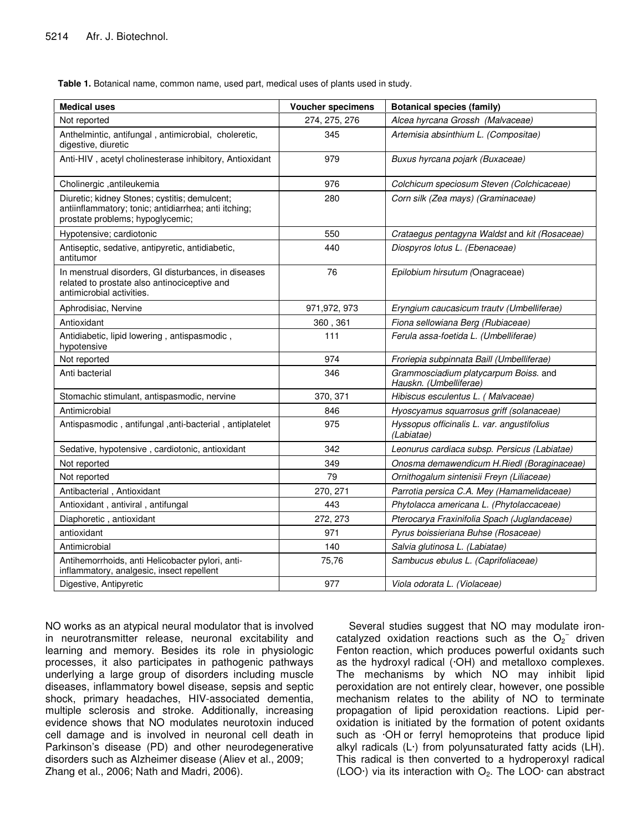**Table 1.** Botanical name, common name, used part, medical uses of plants used in study.

| <b>Medical uses</b>                                                                                                                       | <b>Voucher specimens</b> | <b>Botanical species (family)</b>                               |
|-------------------------------------------------------------------------------------------------------------------------------------------|--------------------------|-----------------------------------------------------------------|
| Not reported                                                                                                                              | 274, 275, 276            | Alcea hyrcana Grossh (Malvaceae)                                |
| Anthelmintic, antifungal, antimicrobial, choleretic,<br>digestive, diuretic                                                               | 345                      | Artemisia absinthium L. (Compositae)                            |
| Anti-HIV, acetyl cholinesterase inhibitory, Antioxidant                                                                                   | 979                      | Buxus hyrcana pojark (Buxaceae)                                 |
| Cholinergic, antileukemia                                                                                                                 | 976                      | Colchicum speciosum Steven (Colchicaceae)                       |
| Diuretic; kidney Stones; cystitis; demulcent;<br>antiinflammatory; tonic; antidiarrhea; anti itching;<br>prostate problems; hypoglycemic; | 280                      | Corn silk (Zea mays) (Graminaceae)                              |
| Hypotensive; cardiotonic                                                                                                                  | 550                      | Crataegus pentagyna Waldst and kit (Rosaceae)                   |
| Antiseptic, sedative, antipyretic, antidiabetic,<br>antitumor                                                                             | 440                      | Diospyros lotus L. (Ebenaceae)                                  |
| In menstrual disorders, GI disturbances, in diseases<br>related to prostate also antinociceptive and<br>antimicrobial activities.         | 76                       | Epilobium hirsutum (Onagraceae)                                 |
| Aphrodisiac, Nervine                                                                                                                      | 971,972, 973             | Eryngium caucasicum trautv (Umbelliferae)                       |
| Antioxidant                                                                                                                               | 360, 361                 | Fiona sellowiana Berg (Rubiaceae)                               |
| Antidiabetic, lipid lowering, antispasmodic,<br>hypotensive                                                                               | 111                      | Ferula assa-foetida L. (Umbelliferae)                           |
| Not reported                                                                                                                              | 974                      | Froriepia subpinnata Baill (Umbelliferae)                       |
| Anti bacterial                                                                                                                            | 346                      | Grammosciadium platycarpum Boiss. and<br>Hauskn. (Umbelliferae) |
| Stomachic stimulant, antispasmodic, nervine                                                                                               | 370, 371                 | Hibiscus esculentus L. (Malvaceae)                              |
| Antimicrobial                                                                                                                             | 846                      | Hyoscyamus squarrosus griff (solanaceae)                        |
| Antispasmodic, antifungal, anti-bacterial, antiplatelet                                                                                   | 975                      | Hyssopus officinalis L. var. angustifolius<br>(Labiatae)        |
| Sedative, hypotensive, cardiotonic, antioxidant                                                                                           | 342                      | Leonurus cardiaca subsp. Persicus (Labiatae)                    |
| Not reported                                                                                                                              | 349                      | Onosma demawendicum H.Riedl (Boraginaceae)                      |
| Not reported                                                                                                                              | 79                       | Ornithogalum sintenisii Freyn (Liliaceae)                       |
| Antibacterial, Antioxidant                                                                                                                | 270, 271                 | Parrotia persica C.A. Mey (Hamamelidaceae)                      |
| Antioxidant, antiviral, antifungal                                                                                                        | 443                      | Phytolacca americana L. (Phytolaccaceae)                        |
| Diaphoretic, antioxidant                                                                                                                  | 272, 273                 | Pterocarya Fraxinifolia Spach (Juglandaceae)                    |
| antioxidant                                                                                                                               | 971                      | Pyrus boissieriana Buhse (Rosaceae)                             |
| Antimicrobial                                                                                                                             | 140                      | Salvia glutinosa L. (Labiatae)                                  |
| Antihemorrhoids, anti Helicobacter pylori, anti-<br>inflammatory, analgesic, insect repellent                                             | 75,76                    | Sambucus ebulus L. (Caprifoliaceae)                             |
| Digestive, Antipyretic                                                                                                                    | 977                      | Viola odorata L. (Violaceae)                                    |

NO works as an atypical neural modulator that is involved in neurotransmitter release, neuronal excitability and learning and memory. Besides its role in physiologic processes, it also participates in pathogenic pathways underlying a large group of disorders including muscle diseases, inflammatory bowel disease, sepsis and septic shock, primary headaches, HIV-associated dementia, multiple sclerosis and stroke. Additionally, increasing evidence shows that NO modulates neurotoxin induced cell damage and is involved in neuronal cell death in Parkinson's disease (PD) and other neurodegenerative disorders such as Alzheimer disease (Aliev et al., 2009; Zhang et al., 2006; Nath and Madri, 2006).

Several studies suggest that NO may modulate ironcatalyzed oxidation reactions such as the  $O_2^-$  driven Fenton reaction, which produces powerful oxidants such as the hydroxyl radical (·OH) and metalloxo complexes. The mechanisms by which NO may inhibit lipid peroxidation are not entirely clear, however, one possible mechanism relates to the ability of NO to terminate propagation of lipid peroxidation reactions. Lipid peroxidation is initiated by the formation of potent oxidants such as ·OH or ferryl hemoproteins that produce lipid alkyl radicals (L·) from polyunsaturated fatty acids (LH). This radical is then converted to a hydroperoxyl radical (LOO $\cdot$ ) via its interaction with  $O_2$ . The LOO $\cdot$  can abstract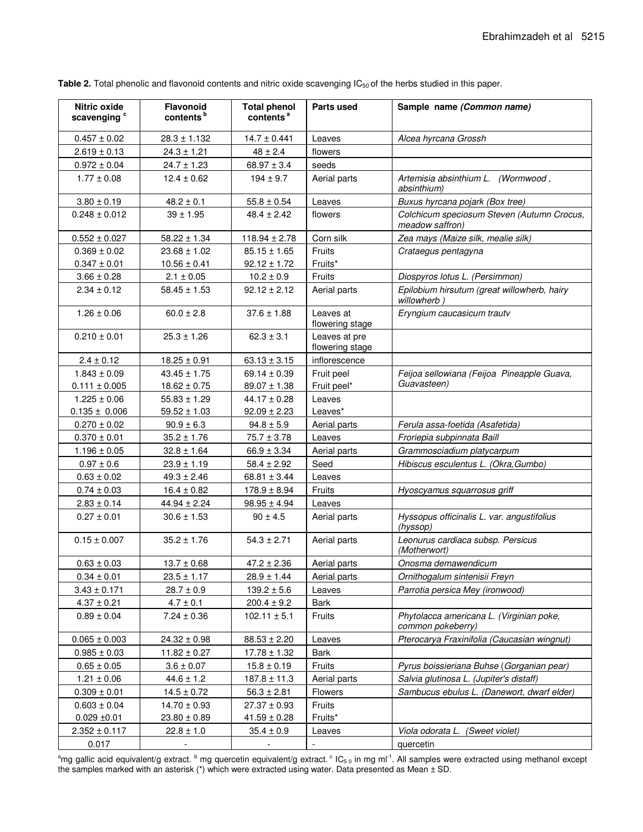| Nitric oxide<br>scavenging <sup>c</sup> | <b>Flavonoid</b><br>contents <sup>b</sup> | <b>Total phenol</b><br>contents <sup>a</sup> | Parts used                       | Sample name (Common name)                                     |
|-----------------------------------------|-------------------------------------------|----------------------------------------------|----------------------------------|---------------------------------------------------------------|
| $0.457 \pm 0.02$                        | $28.3 \pm 1.132$                          | $14.7 \pm 0.441$                             | Leaves                           | Alcea hyrcana Grossh                                          |
| $2.619 \pm 0.13$                        | $24.3 \pm 1.21$                           | $48 \pm 2.4$                                 | flowers                          |                                                               |
| $0.972 \pm 0.04$                        | $24.7 \pm 1.23$                           | $68.97 \pm 3.4$                              | seeds                            |                                                               |
| $1.77 \pm 0.08$                         | $12.4 \pm 0.62$                           | $194 \pm 9.7$                                | Aerial parts                     | Artemisia absinthium L. (Wormwood,<br>absinthium)             |
| $3.80 \pm 0.19$                         | $48.2 \pm 0.1$                            | $55.8 \pm 0.54$                              | Leaves                           | Buxus hyrcana pojark (Box tree)                               |
| $0.248 \pm 0.012$                       | $39 \pm 1.95$                             | $48.4 \pm 2.42$                              | flowers                          | Colchicum speciosum Steven (Autumn Crocus,<br>meadow saffron) |
| $0.552 \pm 0.027$                       | $58.22 \pm 1.34$                          | $118.94 \pm 2.78$                            | Corn silk                        | Zea mays (Maize silk, mealie silk)                            |
| $0.369 \pm 0.02$                        | $23.68 \pm 1.02$                          | $85.15 \pm 1.65$                             | Fruits                           | Crataegus pentagyna                                           |
| $0.347 \pm 0.01$                        | $10.56 \pm 0.41$                          | $92.12 \pm 1.72$                             | Fruits*                          |                                                               |
| $3.66 \pm 0.28$                         | $2.1 \pm 0.05$                            | $10.2 \pm 0.9$                               | Fruits                           | Diospyros lotus L. (Persimmon)                                |
| $2.34 \pm 0.12$                         | $58.45 \pm 1.53$                          | $92.12 \pm 2.12$                             | Aerial parts                     | Epilobium hirsutum (great willowherb, hairy<br>willowherb)    |
| $1.26 \pm 0.06$                         | $60.0 \pm 2.8$                            | $37.6 \pm 1.88$                              | Leaves at<br>flowering stage     | Eryngium caucasicum trautv                                    |
| $0.210 \pm 0.01$                        | $25.3 \pm 1.26$                           | $62.3 \pm 3.1$                               | Leaves at pre<br>flowering stage |                                                               |
| $2.4 \pm 0.12$                          | $18.25 \pm 0.91$                          | $63.13 \pm 3.15$                             | inflorescence                    |                                                               |
| $1.843 \pm 0.09$                        | $43.45 \pm 1.75$                          | 69.14 $\pm$ 0.39                             | Fruit peel                       | Feijoa sellowiana (Feijoa Pineapple Guava,                    |
| $0.111 \pm 0.005$                       | $18.62 \pm 0.75$                          | $89.07 \pm 1.38$                             | Fruit peel*                      | Guavasteen)                                                   |
| $1.225 \pm 0.06$                        | $55.83 \pm 1.29$                          | $44.17 \pm 0.28$                             | Leaves                           |                                                               |
| $0.135 \pm 0.006$                       | $59.52 \pm 1.03$                          | $92.09 \pm 2.23$                             | Leaves*                          |                                                               |
| $0.270 \pm 0.02$                        | $90.9 \pm 6.3$                            | $94.8 \pm 5.9$                               | Aerial parts                     | Ferula assa-foetida (Asafetida)                               |
| $0.370 \pm 0.01$                        | $35.2 \pm 1.76$                           | $75.7 \pm 3.78$                              | Leaves                           | Froriepia subpinnata Baill                                    |
| $1.196 \pm 0.05$                        | $32.8 \pm 1.64$                           | $66.9 \pm 3.34$                              | Aerial parts                     | Grammosciadium platycarpum                                    |
| $0.97 \pm 0.6$                          | $23.9 \pm 1.19$                           | $58.4 \pm 2.92$                              | Seed                             | Hibiscus esculentus L. (Okra, Gumbo)                          |
| $0.63 \pm 0.02$                         | $49.3 \pm 2.46$                           | $68.81 \pm 3.44$                             | Leaves                           |                                                               |
| $0.74 \pm 0.03$                         | $16.4 \pm 0.82$                           | $178.9 \pm 8.94$                             | Fruits                           | Hyoscyamus squarrosus griff                                   |
| $2.83 \pm 0.14$                         | $44.94 \pm 2.24$                          | $98.95 \pm 4.94$                             | Leaves                           |                                                               |
| $0.27 \pm 0.01$                         | $30.6 \pm 1.53$                           | $90 \pm 4.5$                                 | Aerial parts                     | Hyssopus officinalis L. var. angustifolius<br>(hyssop)        |
| $0.15 \pm 0.007$                        | $35.2 \pm 1.76$                           | $54.3 \pm 2.71$                              | Aerial parts                     | Leonurus cardiaca subsp. Persicus<br>(Motherwort)             |
| $0.63 \pm 0.03$                         | $13.7 \pm 0.68$                           | $47.2 \pm 2.36$                              | Aerial parts                     | Onosma demawendicum                                           |
| $0.34 \pm 0.01$                         | $23.5 \pm 1.17$                           | $28.9 \pm 1.44$                              | Aerial parts                     | Ornithogalum sintenisii Freyn                                 |
| $3.43 \pm 0.171$                        | $28.7 \pm 0.9$                            | $139.2 \pm 5.6$                              | Leaves                           | Parrotia persica Mey (ironwood)                               |
| $4.37 \pm 0.21$                         | $4.7 \pm 0.1$                             | $200.4 \pm 9.2$                              | Bark                             |                                                               |
| $0.89 \pm 0.04$                         | $7.24 \pm 0.36$                           | $102.11 \pm 5.1$                             | Fruits                           | Phytolacca americana L. (Virginian poke,<br>common pokeberry) |
| $0.065 \pm 0.003$                       | $24.32 \pm 0.98$                          | $88.53 \pm 2.20$                             | Leaves                           | Pterocarya Fraxinifolia (Caucasian wingnut)                   |
| $0.985 \pm 0.03$                        | $11.82 \pm 0.27$                          | $17.78 \pm 1.32$                             | Bark                             |                                                               |
| $0.65 \pm 0.05$                         | $3.6 \pm 0.07$                            | $15.8 \pm 0.19$                              | Fruits                           | Pyrus boissieriana Buhse (Gorganian pear)                     |
| $1.21 \pm 0.06$                         | $44.6 \pm 1.2$                            | $187.8 \pm 11.3$                             | Aerial parts                     | Salvia glutinosa L. (Jupiter's distaff)                       |
| $0.309 \pm 0.01$                        | $14.5 \pm 0.72$                           | $56.3 \pm 2.81$                              | Flowers                          | Sambucus ebulus L. (Danewort, dwarf elder)                    |
| $0.603 \pm 0.04$                        | $14.70 \pm 0.93$                          | $27.37 \pm 0.93$                             | Fruits                           |                                                               |
| $0.029 + 0.01$                          | $23.80 \pm 0.89$                          | $41.59 \pm 0.28$                             | Fruits*                          |                                                               |
| $2.352 \pm 0.117$                       | $22.8 \pm 1.0$                            | $35.4 \pm 0.9$                               | Leaves                           | Viola odorata L. (Sweet violet)                               |
| 0.017                                   |                                           |                                              | $\overline{\phantom{a}}$         | quercetin                                                     |

Table 2. Total phenolic and flavonoid contents and nitric oxide scavenging IC<sub>50</sub> of the herbs studied in this paper.

 $^{\rm a}$ mg gallic acid equivalent/g extract. <sup>b</sup> mg quercetin equivalent/g extract.  $^{\rm c}$  IC<sub>50</sub> in mg ml<sup>-1</sup>. All samples were extracted using methanol except the samples marked with an asterisk (\*) which were extracted using water. Data presented as Mean ± SD.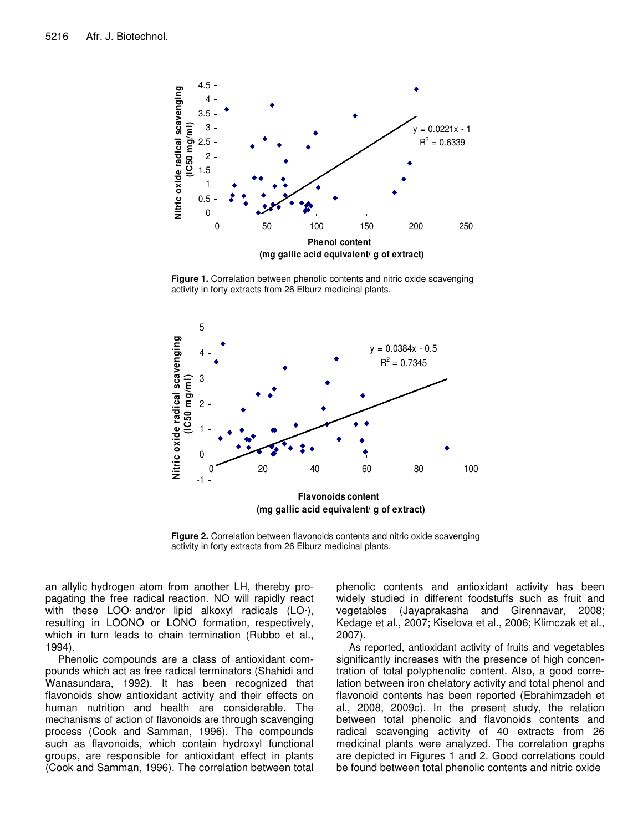

**Figure 1.** Correlation between phenolic contents and nitric oxide scavenging activity in forty extracts from 26 Elburz medicinal plants.



**Figure 2.** Correlation between flavonoids contents and nitric oxide scavenging activity in forty extracts from 26 Elburz medicinal plants.

an allylic hydrogen atom from another LH, thereby propagating the free radical reaction. NO will rapidly react with these LOO· and/or lipid alkoxyl radicals (LO·), resulting in LOONO or LONO formation, respectively, which in turn leads to chain termination (Rubbo et al., 1994).

Phenolic compounds are a class of antioxidant compounds which act as free radical terminators (Shahidi and Wanasundara, 1992). It has been recognized that flavonoids show antioxidant activity and their effects on human nutrition and health are considerable. The mechanisms of action of flavonoids are through scavenging process (Cook and Samman, 1996). The compounds such as flavonoids, which contain hydroxyl functional groups, are responsible for antioxidant effect in plants (Cook and Samman, 1996). The correlation between total phenolic contents and antioxidant activity has been widely studied in different foodstuffs such as fruit and vegetables (Jayaprakasha and Girennavar, 2008; Kedage et al., 2007; Kiselova et al., 2006; Klimczak et al., 2007).

As reported, antioxidant activity of fruits and vegetables significantly increases with the presence of high concentration of total polyphenolic content. Also, a good correlation between iron chelatory activity and total phenol and flavonoid contents has been reported (Ebrahimzadeh et al., 2008, 2009c). In the present study, the relation between total phenolic and flavonoids contents and radical scavenging activity of 40 extracts from 26 medicinal plants were analyzed. The correlation graphs are depicted in Figures 1 and 2. Good correlations could be found between total phenolic contents and nitric oxide